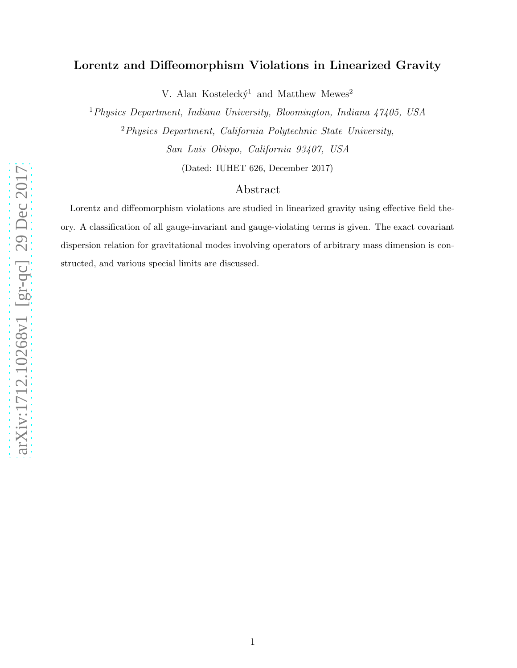## Lorentz and Diffeomorphism Violations in Linearized Gravity

V. Alan Kostelecký<sup>1</sup> and Matthew Mewes<sup>2</sup>

<sup>1</sup>Physics Department, Indiana University, Bloomington, Indiana 47405, USA <sup>2</sup>Physics Department, California Polytechnic State University, San Luis Obispo, California 93407, USA

(Dated: IUHET 626, December 2017)

## Abstract

Lorentz and diffeomorphism violations are studied in linearized gravity using effective field theory. A classification of all gauge-invariant and gauge-violating terms is given. The exact covariant dispersion relation for gravitational modes involving operators of arbitrary mass dimension is constructed, and various special limits are discussed.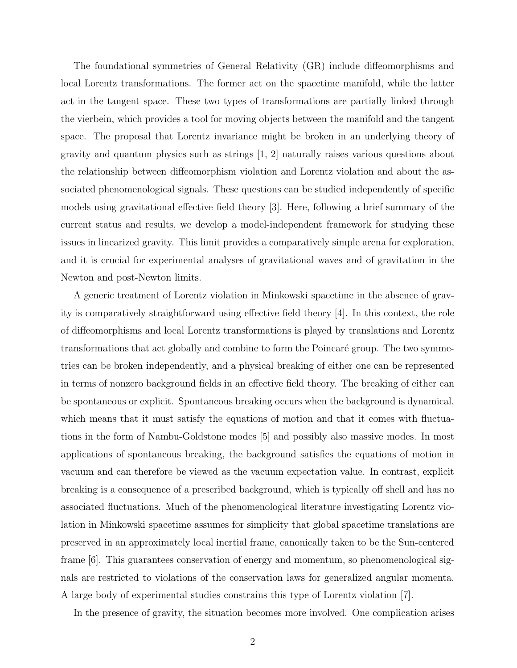The foundational symmetries of General Relativity (GR) include diffeomorphisms and local Lorentz transformations. The former act on the spacetime manifold, while the latter act in the tangent space. These two types of transformations are partially linked through the vierbein, which provides a tool for moving objects between the manifold and the tangent space. The proposal that Lorentz invariance might be broken in an underlying theory of gravity and quantum physics such as strings [1, 2] naturally raises various questions about the relationship between diffeomorphism violation and Lorentz violation and about the associated phenomenological signals. These questions can be studied independently of specific models using gravitational effective field theory [3]. Here, following a brief summary of the current status and results, we develop a model-independent framework for studying these issues in linearized gravity. This limit provides a comparatively simple arena for exploration, and it is crucial for experimental analyses of gravitational waves and of gravitation in the Newton and post-Newton limits.

A generic treatment of Lorentz violation in Minkowski spacetime in the absence of gravity is comparatively straightforward using effective field theory [4]. In this context, the role of diffeomorphisms and local Lorentz transformations is played by translations and Lorentz transformations that act globally and combine to form the Poincaré group. The two symmetries can be broken independently, and a physical breaking of either one can be represented in terms of nonzero background fields in an effective field theory. The breaking of either can be spontaneous or explicit. Spontaneous breaking occurs when the background is dynamical, which means that it must satisfy the equations of motion and that it comes with fluctuations in the form of Nambu-Goldstone modes [5] and possibly also massive modes. In most applications of spontaneous breaking, the background satisfies the equations of motion in vacuum and can therefore be viewed as the vacuum expectation value. In contrast, explicit breaking is a consequence of a prescribed background, which is typically off shell and has no associated fluctuations. Much of the phenomenological literature investigating Lorentz violation in Minkowski spacetime assumes for simplicity that global spacetime translations are preserved in an approximately local inertial frame, canonically taken to be the Sun-centered frame [6]. This guarantees conservation of energy and momentum, so phenomenological signals are restricted to violations of the conservation laws for generalized angular momenta. A large body of experimental studies constrains this type of Lorentz violation [7].

In the presence of gravity, the situation becomes more involved. One complication arises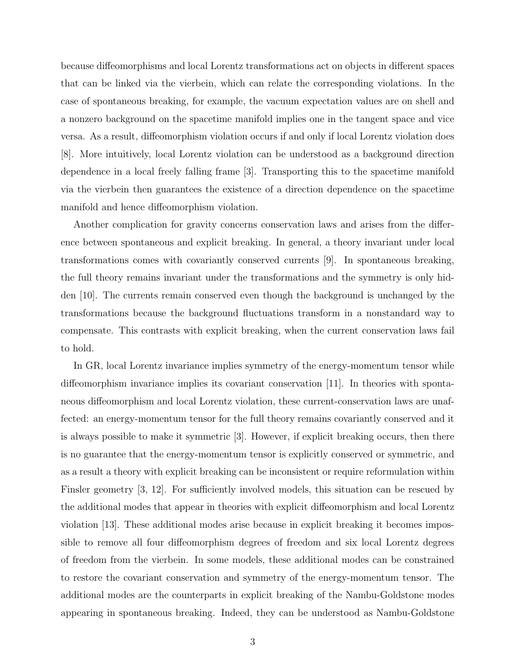because diffeomorphisms and local Lorentz transformations act on objects in different spaces that can be linked via the vierbein, which can relate the corresponding violations. In the case of spontaneous breaking, for example, the vacuum expectation values are on shell and a nonzero background on the spacetime manifold implies one in the tangent space and vice versa. As a result, diffeomorphism violation occurs if and only if local Lorentz violation does [8]. More intuitively, local Lorentz violation can be understood as a background direction dependence in a local freely falling frame [3]. Transporting this to the spacetime manifold via the vierbein then guarantees the existence of a direction dependence on the spacetime manifold and hence diffeomorphism violation.

Another complication for gravity concerns conservation laws and arises from the difference between spontaneous and explicit breaking. In general, a theory invariant under local transformations comes with covariantly conserved currents [9]. In spontaneous breaking, the full theory remains invariant under the transformations and the symmetry is only hidden [10]. The currents remain conserved even though the background is unchanged by the transformations because the background fluctuations transform in a nonstandard way to compensate. This contrasts with explicit breaking, when the current conservation laws fail to hold.

In GR, local Lorentz invariance implies symmetry of the energy-momentum tensor while diffeomorphism invariance implies its covariant conservation [11]. In theories with spontaneous diffeomorphism and local Lorentz violation, these current-conservation laws are unaffected: an energy-momentum tensor for the full theory remains covariantly conserved and it is always possible to make it symmetric [3]. However, if explicit breaking occurs, then there is no guarantee that the energy-momentum tensor is explicitly conserved or symmetric, and as a result a theory with explicit breaking can be inconsistent or require reformulation within Finsler geometry [3, 12]. For sufficiently involved models, this situation can be rescued by the additional modes that appear in theories with explicit diffeomorphism and local Lorentz violation [13]. These additional modes arise because in explicit breaking it becomes impossible to remove all four diffeomorphism degrees of freedom and six local Lorentz degrees of freedom from the vierbein. In some models, these additional modes can be constrained to restore the covariant conservation and symmetry of the energy-momentum tensor. The additional modes are the counterparts in explicit breaking of the Nambu-Goldstone modes appearing in spontaneous breaking. Indeed, they can be understood as Nambu-Goldstone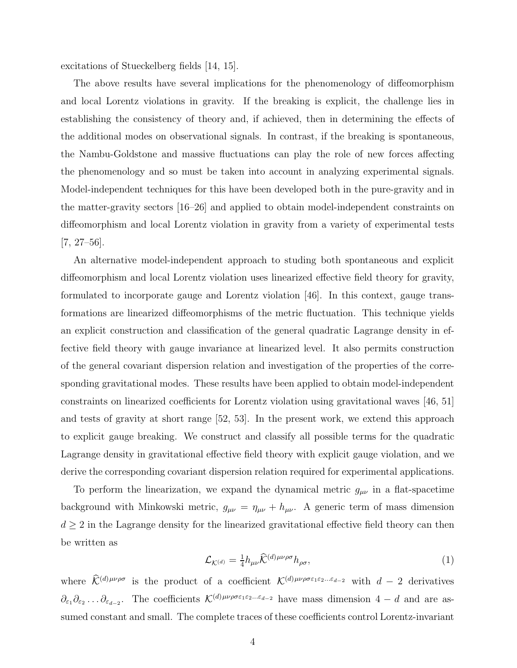excitations of Stueckelberg fields [14, 15].

The above results have several implications for the phenomenology of diffeomorphism and local Lorentz violations in gravity. If the breaking is explicit, the challenge lies in establishing the consistency of theory and, if achieved, then in determining the effects of the additional modes on observational signals. In contrast, if the breaking is spontaneous, the Nambu-Goldstone and massive fluctuations can play the role of new forces affecting the phenomenology and so must be taken into account in analyzing experimental signals. Model-independent techniques for this have been developed both in the pure-gravity and in the matter-gravity sectors [16–26] and applied to obtain model-independent constraints on diffeomorphism and local Lorentz violation in gravity from a variety of experimental tests [7, 27–56].

An alternative model-independent approach to studing both spontaneous and explicit diffeomorphism and local Lorentz violation uses linearized effective field theory for gravity, formulated to incorporate gauge and Lorentz violation [46]. In this context, gauge transformations are linearized diffeomorphisms of the metric fluctuation. This technique yields an explicit construction and classification of the general quadratic Lagrange density in effective field theory with gauge invariance at linearized level. It also permits construction of the general covariant dispersion relation and investigation of the properties of the corresponding gravitational modes. These results have been applied to obtain model-independent constraints on linearized coefficients for Lorentz violation using gravitational waves [46, 51] and tests of gravity at short range [52, 53]. In the present work, we extend this approach to explicit gauge breaking. We construct and classify all possible terms for the quadratic Lagrange density in gravitational effective field theory with explicit gauge violation, and we derive the corresponding covariant dispersion relation required for experimental applications.

To perform the linearization, we expand the dynamical metric  $g_{\mu\nu}$  in a flat-spacetime background with Minkowski metric,  $g_{\mu\nu} = \eta_{\mu\nu} + h_{\mu\nu}$ . A generic term of mass dimension  $d \geq 2$  in the Lagrange density for the linearized gravitational effective field theory can then be written as

$$
\mathcal{L}_{\mathcal{K}^{(d)}} = \frac{1}{4} h_{\mu\nu} \hat{\mathcal{K}}^{(d)\mu\nu\rho\sigma} h_{\rho\sigma},\tag{1}
$$

where  $\widehat{\mathcal{K}}^{(d)\mu\nu\rho\sigma}$  is the product of a coefficient  $\mathcal{K}^{(d)\mu\nu\rho\sigma\epsilon_1\epsilon_2...\epsilon_{d-2}}$  with  $d-2$  derivatives  $\partial_{\varepsilon_1}\partial_{\varepsilon_2}\dots\partial_{\varepsilon_{d-2}}$ . The coefficients  $\mathcal{K}^{(d)\mu\nu\rho\sigma\varepsilon_1\varepsilon_2\dots\varepsilon_{d-2}}$  have mass dimension  $4-d$  and are assumed constant and small. The complete traces of these coefficients control Lorentz-invariant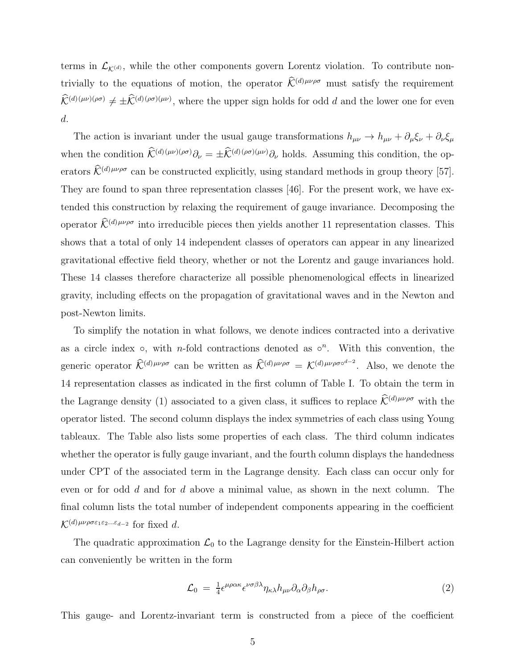terms in  $\mathcal{L}_{K(d)}$ , while the other components govern Lorentz violation. To contribute nontrivially to the equations of motion, the operator  $\widehat{\mathcal{K}}^{(d)\mu\nu\rho\sigma}$  must satisfy the requirement  $\hat{\mathcal{K}}^{(d)(\mu\nu)(\rho\sigma)} \neq \pm \hat{\mathcal{K}}^{(d)(\rho\sigma)(\mu\nu)}$ , where the upper sign holds for odd d and the lower one for even d.

The action is invariant under the usual gauge transformations  $h_{\mu\nu} \to h_{\mu\nu} + \partial_\mu \xi_\nu + \partial_\nu \xi_\mu$ when the condition  $\widehat{\mathcal{K}}^{(d)(\mu\nu)(\rho\sigma)}\partial_{\nu} = \pm \widehat{\mathcal{K}}^{(d)(\rho\sigma)(\mu\nu)}\partial_{\nu}$  holds. Assuming this condition, the operators  $\widehat{\mathcal{K}}^{(d)\mu\nu\rho\sigma}$  can be constructed explicitly, using standard methods in group theory [57]. They are found to span three representation classes [46]. For the present work, we have extended this construction by relaxing the requirement of gauge invariance. Decomposing the operator  $\widehat{\mathcal{K}}^{(d)\mu\nu\rho\sigma}$  into irreducible pieces then yields another 11 representation classes. This shows that a total of only 14 independent classes of operators can appear in any linearized gravitational effective field theory, whether or not the Lorentz and gauge invariances hold. These 14 classes therefore characterize all possible phenomenological effects in linearized gravity, including effects on the propagation of gravitational waves and in the Newton and post-Newton limits.

To simplify the notation in what follows, we denote indices contracted into a derivative as a circle index  $\circ$ , with *n*-fold contractions denoted as  $\circ^n$ . With this convention, the generic operator  $\widehat{\mathcal{K}}^{(d)\mu\nu\rho\sigma}$  can be written as  $\widehat{\mathcal{K}}^{(d)\mu\nu\rho\sigma} = \mathcal{K}^{(d)\mu\nu\rho\sigma\circ^{d-2}}$ . Also, we denote the 14 representation classes as indicated in the first column of Table I. To obtain the term in the Lagrange density (1) associated to a given class, it suffices to replace  $\widehat{\mathcal{K}}^{(d)\mu\nu\rho\sigma}$  with the operator listed. The second column displays the index symmetries of each class using Young tableaux. The Table also lists some properties of each class. The third column indicates whether the operator is fully gauge invariant, and the fourth column displays the handedness under CPT of the associated term in the Lagrange density. Each class can occur only for even or for odd d and for d above a minimal value, as shown in the next column. The final column lists the total number of independent components appearing in the coefficient  $\mathcal{K}^{(d)\mu\nu\rho\sigma\varepsilon_1\varepsilon_2...\varepsilon_{d-2}}$  for fixed d.

The quadratic approximation  $\mathcal{L}_0$  to the Lagrange density for the Einstein-Hilbert action can conveniently be written in the form

$$
\mathcal{L}_0 = \frac{1}{4} \epsilon^{\mu \rho \alpha \kappa} \epsilon^{\nu \sigma \beta \lambda} \eta_{\kappa \lambda} h_{\mu \nu} \partial_{\alpha} \partial_{\beta} h_{\rho \sigma}.
$$
\n
$$
\tag{2}
$$

This gauge- and Lorentz-invariant term is constructed from a piece of the coefficient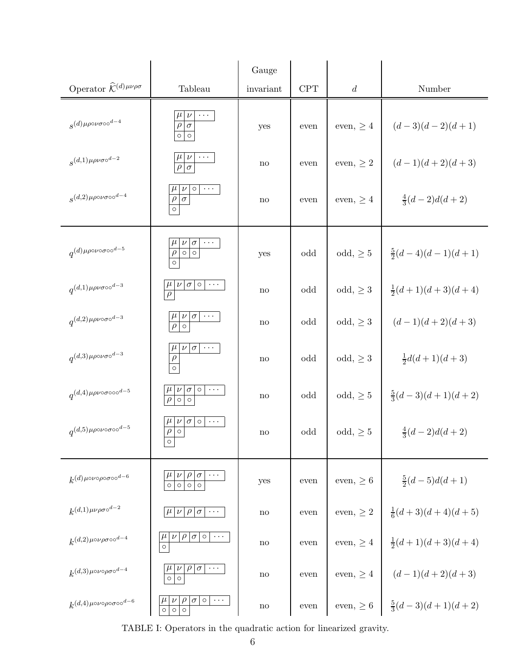|                                                            |                                                                                              | Gauge                  |      |                  |                                                          |
|------------------------------------------------------------|----------------------------------------------------------------------------------------------|------------------------|------|------------------|----------------------------------------------------------|
| Operator $\widehat{\mathcal{K}}^{(d)\,\mu\nu\rho\sigma}$   | Tableau                                                                                      | invariant              | CPT  | $\boldsymbol{d}$ | Number                                                   |
| $s^{(d)\mu\rho\circ\nu\sigma\circ\circ^{d-4}}$             | $\nu$<br>$\rho   \sigma$<br>$\circ$<br>$\circ$                                               | yes                    | even | even, $\geq 4$   | $(d-3)(d-2)(d+1)$                                        |
| $s^{(d,1)\mu\rho\nu\sigma\circ^{d-2}}$                     | $\overline{\rho}$<br>$\overline{\sigma}$                                                     | $\mathop{\mathrm{no}}$ | even | even, $\geq 2$   | $(d-1)(d+2)(d+3)$                                        |
| $s^{(d,2)\mu\rho\circ\nu\sigma\circ\circ^{d-4}}$           | $\circ$<br>$\frac{\rho}{\rho}$                                                               | $\mathop{\mathrm{no}}$ | even | even, $\geq 4$   | $\frac{4}{3}(d-2)d(d+2)$                                 |
| $q^{(d)\mu\rho\circ\nu\circ\sigma\circ\circ^{d-5}}$        | $\sigma$<br>$\overline{\circ}$<br>$\frac{\rho}{\circ}$                                       | yes                    | odd  | $odd, \geq 5$    | $\frac{5}{2}(d-4)(d-1)(d+1)$                             |
| $q^{(d,1)\mu\rho\nu\sigma\circ\circ^{d-3}}$                | $\sigma$   $\circ$   $\cdots$<br>$\frac{\mu}{\rho}$<br>$\nu$                                 | no                     | odd  | $odd, \geq 3$    | $\frac{1}{2}(d+1)(d+3)(d+4)$                             |
| $q^{(d,2)\mu\rho\nu\circ\sigma\circ^{d-3}}$                | $\sigma$<br>$\sim$ $\sim$ $\sim$<br>$\overline{\circ}$<br>$\overline{\rho}$                  | no                     | odd  | $odd, \geq 3$    | $(d-1)(d+2)(d+3)$                                        |
| $q^{(d,3)\mu\rho\circ\nu\sigma\circ^{d-3}}$                | $\nu  \sigma  \cdots$<br>$\frac{\mu}{\rho}$<br>$\overline{\circ}$                            | no                     | odd  | $odd, \geq 3$    | $\frac{1}{2}d(d+1)(d+3)$                                 |
| $q^{(d,4)\mu\rho\nu\circ\sigma\circ\circ\circ^{d-5}}$      | $\circ$<br>$\cdots$<br>$\nu$<br>$\sigma$<br>$\frac{\mu}{\rho}$<br>$\circ$ $\circ$            | $\mathop{\mathrm{no}}$ | odd  | $odd, \geq 5$    | $\frac{5}{3}(d-3)(d+1)(d+2)$                             |
| $q^{(d,5)\mu\rho\circ\nu\circ\sigma\circ\circ^{d-5}}$      | $\sigma$   $\circ$   $\cdots$<br>$\nu$<br>$\overline{\rho}$<br>$\overline{\circ}$<br>$\circ$ | $\mathop{\mathrm{no}}$ | odd  | $odd, \geq 5$    | $\frac{4}{3}(d-2)d(d+2)$                                 |
| $k^{(d)\mu\circ\nu\circ\rho\circ\sigma\circ\circ^{d-6}}$   | $\rho$<br>$\sigma$<br>$\nu$<br>$\overline{\circ}$<br>$\circ$<br>$\circ$<br>$\circ$           | yes                    | even | even, $\geq 6$   | $\frac{5}{2}(d-5)d(d+1)$                                 |
| $k^{(d,1)\mu\nu\rho\sigma\circ^{d-2}}$                     | $\rho \sigma \cdots$<br>$\mu$<br>$\nu$                                                       | $\mathop{\mathrm{no}}$ | even | even, $\geq 2$   | $\frac{1}{6}(d+3)(d+4)(d+5)$                             |
| $k^{(d,2)\mu\circ\nu\rho\sigma\circ\circ^{d-4}}$           | $\sigma$  0 <br>$\cdot$<br>$\mu$<br>$\overline{\circ}$                                       | $\mathop{\mathrm{no}}$ | even | even, $\geq 4$   | $\frac{1}{2}(d+1)(d+3)(d+4)$                             |
| $k^{(d,3)\mu\circ\nu\circ\rho\sigma\circ^{d-4}}$           | $\rho$<br>$ \sigma  \cdots$<br>$\nu$<br>$\overline{\circ}$<br>$\circ$                        | $\mathop{\mathrm{no}}$ | even | even, $\geq 4$   | $(d-1)(d+2)(d+3)$                                        |
| $k^{(d,4)\mu\circ\nu\circ\rho\circ\sigma\circ\circ^{d-6}}$ | $\sigma$<br>$\circ$<br>$\ldots$<br>$\mu$<br>$\circ$<br>$\circ$<br>$\circ$                    | no                     | even |                  | even, $\geq 6 \left  \frac{5}{3}(d-3)(d+1)(d+2) \right $ |

TABLE I: Operators in the quadratic action for linearized gravity.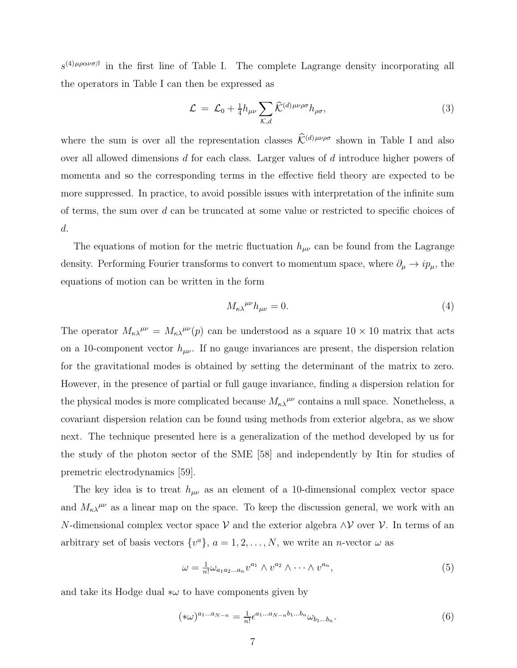$s^{(4)\mu\rho\alpha\nu\sigma\beta}$  in the first line of Table I. The complete Lagrange density incorporating all the operators in Table I can then be expressed as

$$
\mathcal{L} = \mathcal{L}_0 + \frac{1}{4} h_{\mu\nu} \sum_{\mathcal{K},d} \widehat{\mathcal{K}}^{(d)\,\mu\nu\rho\sigma} h_{\rho\sigma},\tag{3}
$$

where the sum is over all the representation classes  $\widehat{\mathcal{K}}^{(d)\mu\nu\rho\sigma}$  shown in Table I and also over all allowed dimensions d for each class. Larger values of d introduce higher powers of momenta and so the corresponding terms in the effective field theory are expected to be more suppressed. In practice, to avoid possible issues with interpretation of the infinite sum of terms, the sum over d can be truncated at some value or restricted to specific choices of d.

The equations of motion for the metric fluctuation  $h_{\mu\nu}$  can be found from the Lagrange density. Performing Fourier transforms to convert to momentum space, where  $\partial_{\mu} \to i p_{\mu}$ , the equations of motion can be written in the form

$$
M_{\kappa\lambda}{}^{\mu\nu}h_{\mu\nu} = 0.\tag{4}
$$

The operator  $M_{\kappa\lambda}{}^{\mu\nu} = M_{\kappa\lambda}{}^{\mu\nu}(p)$  can be understood as a square  $10 \times 10$  matrix that acts on a 10-component vector  $h_{\mu\nu}$ . If no gauge invariances are present, the dispersion relation for the gravitational modes is obtained by setting the determinant of the matrix to zero. However, in the presence of partial or full gauge invariance, finding a dispersion relation for the physical modes is more complicated because  $M_{\kappa\lambda}^{\mu\nu}$  contains a null space. Nonetheless, a covariant dispersion relation can be found using methods from exterior algebra, as we show next. The technique presented here is a generalization of the method developed by us for the study of the photon sector of the SME [58] and independently by Itin for studies of premetric electrodynamics [59].

The key idea is to treat  $h_{\mu\nu}$  as an element of a 10-dimensional complex vector space and  $M_{\kappa\lambda}^{\mu\nu}$  as a linear map on the space. To keep the discussion general, we work with an N-dimensional complex vector space V and the exterior algebra  $\wedge$ V over V. In terms of an arbitrary set of basis vectors  $\{v^a\}, a = 1, 2, ..., N$ , we write an *n*-vector  $\omega$  as

$$
\omega = \frac{1}{n!} \omega_{a_1 a_2 \dots a_n} v^{a_1} \wedge v^{a_2} \wedge \dots \wedge v^{a_n}, \tag{5}
$$

and take its Hodge dual  $*\omega$  to have components given by

$$
(*\omega)^{a_1...a_{N-n}} = \frac{1}{n!} \epsilon^{a_1...a_{N-n}b_1...b_n} \omega_{b_1...b_n}.
$$
 (6)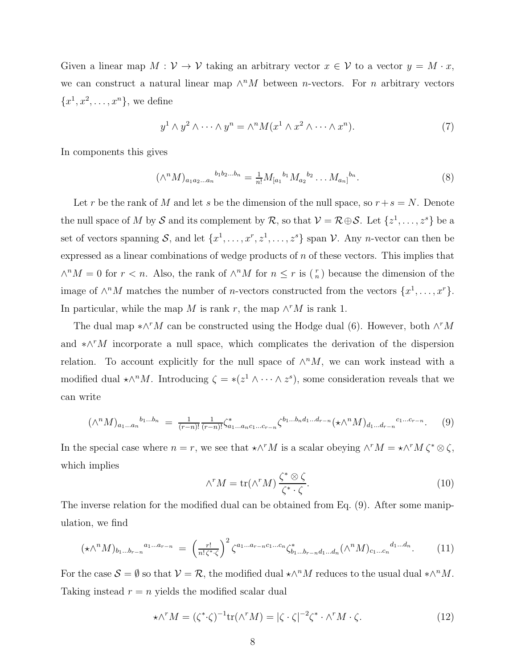Given a linear map  $M: V \to V$  taking an arbitrary vector  $x \in V$  to a vector  $y = M \cdot x$ , we can construct a natural linear map  $\wedge^n M$  between *n*-vectors. For *n* arbitrary vectors  ${x^1, x^2, \ldots, x^n}$ , we define

$$
y^{1} \wedge y^{2} \wedge \cdots \wedge y^{n} = \wedge^{n} M(x^{1} \wedge x^{2} \wedge \cdots \wedge x^{n}). \tag{7}
$$

In components this gives

$$
(\wedge^n M)_{a_1 a_2 \dots a_n}^{b_1 b_2 \dots b_n} = \frac{1}{n!} M_{[a_1}^{b_1} M_{a_2}^{b_2} \dots M_{a_n]}^{b_n}.
$$
 (8)

Let r be the rank of M and let s be the dimension of the null space, so  $r+s=N$ . Denote the null space of M by S and its complement by R, so that  $V = \mathcal{R} \oplus \mathcal{S}$ . Let  $\{z^1, \ldots, z^s\}$  be a set of vectors spanning S, and let  $\{x^1, \ldots, x^r, z^1, \ldots, z^s\}$  span V. Any *n*-vector can then be expressed as a linear combinations of wedge products of n of these vectors. This implies that  $\wedge^n M = 0$  for  $r < n$ . Also, the rank of  $\wedge^n M$  for  $n ≤ r$  is  $\binom{r}{n}$  because the dimension of the image of  $\wedge^n M$  matches the number of *n*-vectors constructed from the vectors  $\{x^1, \ldots, x^r\}$ . In particular, while the map M is rank r, the map  $\wedge^r M$  is rank 1.

The dual map  $*\wedge^r M$  can be constructed using the Hodge dual (6). However, both  $\wedge^r M$ and  $\star \wedge^{r}M$  incorporate a null space, which complicates the derivation of the dispersion relation. To account explicitly for the null space of  $\wedge^n M$ , we can work instead with a modified dual  $\star \wedge^n M$ . Introducing  $\zeta = \star (z^1 \wedge \cdots \wedge z^s)$ , some consideration reveals that we can write

$$
(\wedge^n M)_{a_1...a_n}^{b_1...b_n} = \frac{1}{(r-n)!} \frac{1}{(r-n)!} \zeta^*_{a_1...a_n c_1...c_{r-n}} \zeta^{b_1...b_n d_1...d_{r-n}} (\star \wedge^n M)_{d_1...d_{r-n}}^{c_1...c_{r-n}}.
$$
 (9)

In the special case where  $n = r$ , we see that  $\star \wedge^r M$  is a scalar obeying  $\wedge^r M = \star \wedge^r M \zeta^* \otimes \zeta$ , which implies

$$
\wedge^r M = \text{tr}(\wedge^r M) \frac{\zeta^* \otimes \zeta}{\zeta^* \cdot \zeta}.
$$
\n(10)

The inverse relation for the modified dual can be obtained from Eq. (9). After some manipulation, we find

$$
(\star \wedge^{n} M)_{b_{1}...b_{r-n}}{}^{a_{1}...a_{r-n}} = \left(\frac{r!}{n!\zeta^{*}\zeta}\right)^{2} \zeta^{a_{1}...a_{r-n}c_{1}...c_{n}} \zeta^{*}_{b_{1}...b_{r-n}d_{1}...d_{n}} (\wedge^{n} M)_{c_{1}...c_{n}}{}^{d_{1}...d_{n}}.
$$
 (11)

For the case  $\mathcal{S} = \emptyset$  so that  $\mathcal{V} = \mathcal{R}$ , the modified dual  $\star \wedge^n M$  reduces to the usual dual  $\star \wedge^n M$ . Taking instead  $r = n$  yields the modified scalar dual

$$
\star \wedge^r M = (\zeta^* \cdot \zeta)^{-1} \text{tr}(\wedge^r M) = |\zeta \cdot \zeta|^{-2} \zeta^* \cdot \wedge^r M \cdot \zeta. \tag{12}
$$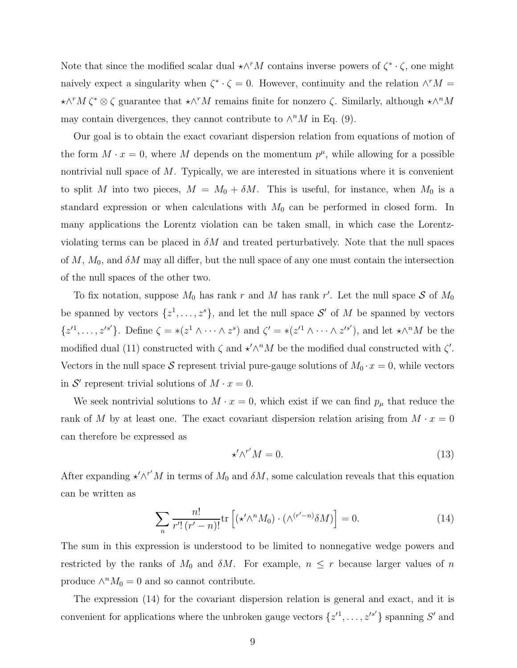Note that since the modified scalar dual  $\star \wedge^r M$  contains inverse powers of  $\zeta^* \cdot \zeta$ , one might naively expect a singularity when  $\zeta^* \cdot \zeta = 0$ . However, continuity and the relation  $\wedge^r M =$  $\star \wedge^r M \zeta^* \otimes \zeta$  guarantee that  $\star \wedge^r M$  remains finite for nonzero  $\zeta$ . Similarly, although  $\star \wedge^n M$ may contain divergences, they cannot contribute to  $\wedge^n M$  in Eq. (9).

Our goal is to obtain the exact covariant dispersion relation from equations of motion of the form  $M \cdot x = 0$ , where M depends on the momentum  $p^{\mu}$ , while allowing for a possible nontrivial null space of  $M$ . Typically, we are interested in situations where it is convenient to split M into two pieces,  $M = M_0 + \delta M$ . This is useful, for instance, when  $M_0$  is a standard expression or when calculations with  $M_0$  can be performed in closed form. In many applications the Lorentz violation can be taken small, in which case the Lorentzviolating terms can be placed in  $\delta M$  and treated perturbatively. Note that the null spaces of  $M$ ,  $M_0$ , and  $\delta M$  may all differ, but the null space of any one must contain the intersection of the null spaces of the other two.

To fix notation, suppose  $M_0$  has rank r and M has rank r'. Let the null space S of  $M_0$ be spanned by vectors  $\{z^1, \ldots, z^s\}$ , and let the null space  $\mathcal{S}'$  of M be spanned by vectors  $\{z'^1,\ldots,z'^{s'}\}.$  Define  $\zeta = * (z^1 \wedge \cdots \wedge z^s)$  and  $\zeta' = * (z'^1 \wedge \cdots \wedge z'^{s'}),$  and let  $*\wedge^n M$  be the modified dual (11) constructed with  $\zeta$  and  $\star' \wedge^n M$  be the modified dual constructed with  $\zeta'$ . Vectors in the null space S represent trivial pure-gauge solutions of  $M_0 \cdot x = 0$ , while vectors in  $S'$  represent trivial solutions of  $M \cdot x = 0$ .

We seek nontrivial solutions to  $M \cdot x = 0$ , which exist if we can find  $p_{\mu}$  that reduce the rank of M by at least one. The exact covariant dispersion relation arising from  $M \cdot x = 0$ can therefore be expressed as

$$
\star' \wedge^{r'} M = 0. \tag{13}
$$

After expanding  $\star' \wedge^{r'} M$  in terms of  $M_0$  and  $\delta M$ , some calculation reveals that this equation can be written as

$$
\sum_{n} \frac{n!}{r'! \left( r' - n \right)!} \text{tr} \left[ \left( \star' \wedge^{n} M_0 \right) \cdot \left( \wedge^{(r'-n)} \delta M \right) \right] = 0. \tag{14}
$$

The sum in this expression is understood to be limited to nonnegative wedge powers and restricted by the ranks of  $M_0$  and  $\delta M$ . For example,  $n \leq r$  because larger values of n produce  $\wedge^n M_0 = 0$  and so cannot contribute.

The expression (14) for the covariant dispersion relation is general and exact, and it is convenient for applications where the unbroken gauge vectors  $\{z'^1, \ldots, z'^{s'}\}$  spanning S' and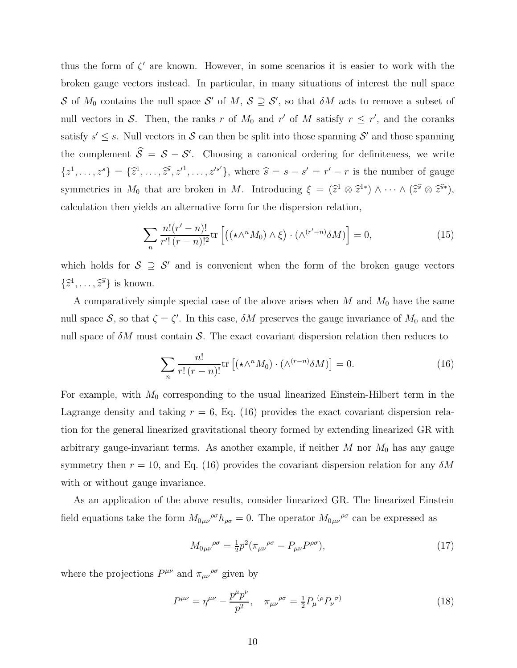thus the form of  $\zeta'$  are known. However, in some scenarios it is easier to work with the broken gauge vectors instead. In particular, in many situations of interest the null space S of  $M_0$  contains the null space S' of M,  $S \supseteq S'$ , so that  $\delta M$  acts to remove a subset of null vectors in S. Then, the ranks r of  $M_0$  and r' of M satisfy  $r \leq r'$ , and the coranks satisfy  $s' \leq s$ . Null vectors in S can then be split into those spanning S' and those spanning the complement  $\hat{S} = S - S'$ . Choosing a canonical ordering for definiteness, we write  $\{z^1, \ldots, z^s\} = \{\hat{z}^1, \ldots, \hat{z}^s, z'^1, \ldots, z'^{s'}\},\$  where  $\hat{s} = s - s' = r' - r$  is the number of gauge symmetries in  $M_0$  that are broken in M. Introducing  $\xi = (\hat{z}^1 \otimes \hat{z}^{1*}) \wedge \cdots \wedge (\hat{z}^s \otimes \hat{z}^{s*}),$ calculation then yields an alternative form for the dispersion relation,

$$
\sum_{n} \frac{n!(r'-n)!}{r'!(r-n)!^2} \text{tr}\left[ \left( (\star \wedge^{n} M_0) \wedge \xi \right) \cdot (\wedge^{(r'-n)} \delta M) \right] = 0, \tag{15}
$$

which holds for  $S \supseteq S'$  and is convenient when the form of the broken gauge vectors  $\{\widehat{z}^1,\ldots,\widehat{z}^s\}$  is known.

A comparatively simple special case of the above arises when  $M$  and  $M_0$  have the same null space S, so that  $\zeta = \zeta'$ . In this case,  $\delta M$  preserves the gauge invariance of  $M_0$  and the null space of  $\delta M$  must contain S. The exact covariant dispersion relation then reduces to

$$
\sum_{n} \frac{n!}{r!(r-n)!} \text{tr}\left[ (\star \wedge^{n} M_0) \cdot (\wedge^{(r-n)} \delta M) \right] = 0. \tag{16}
$$

For example, with  $M_0$  corresponding to the usual linearized Einstein-Hilbert term in the Lagrange density and taking  $r = 6$ , Eq. (16) provides the exact covariant dispersion relation for the general linearized gravitational theory formed by extending linearized GR with arbitrary gauge-invariant terms. As another example, if neither  $M$  nor  $M_0$  has any gauge symmetry then  $r = 10$ , and Eq. (16) provides the covariant dispersion relation for any  $\delta M$ with or without gauge invariance.

As an application of the above results, consider linearized GR. The linearized Einstein field equations take the form  $M_{0\mu\nu}{}^{\rho\sigma}h_{\rho\sigma} = 0$ . The operator  $M_{0\mu\nu}{}^{\rho\sigma}$  can be expressed as

$$
M_{0\mu\nu}^{\rho\sigma} = \frac{1}{2}p^2(\pi_{\mu\nu}^{\rho\sigma} - P_{\mu\nu}^{\rho\sigma}),\tag{17}
$$

where the projections  $P^{\mu\nu}$  and  $\pi_{\mu\nu}{}^{\rho\sigma}$  given by

$$
P^{\mu\nu} = \eta^{\mu\nu} - \frac{p^{\mu}p^{\nu}}{p^2}, \quad \pi_{\mu\nu}^{\ \rho\sigma} = \frac{1}{2}P_{\mu}^{\ (\rho}P_{\nu}^{\ \sigma)} \tag{18}
$$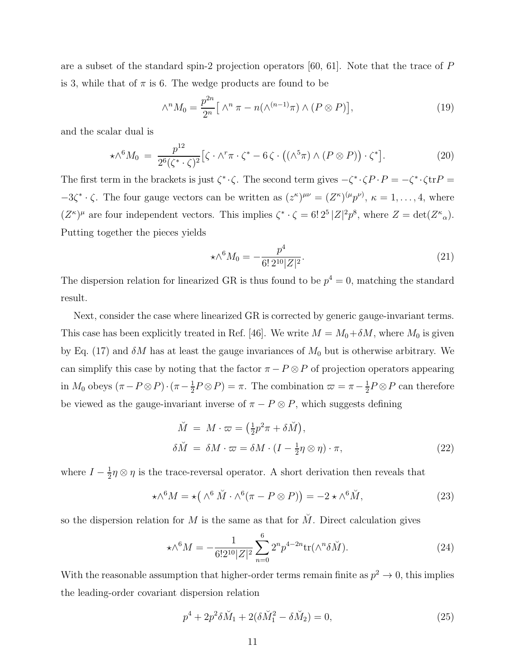are a subset of the standard spin-2 projection operators [60, 61]. Note that the trace of P is 3, while that of  $\pi$  is 6. The wedge products are found to be

$$
\wedge^n M_0 = \frac{p^{2n}}{2^n} \left[ \wedge^n \pi - n(\wedge^{(n-1)} \pi) \wedge (P \otimes P) \right],\tag{19}
$$

and the scalar dual is

$$
\star \wedge^6 M_0 \ = \ \frac{p^{12}}{2^6 (\zeta^* \cdot \zeta)^2} \left[ \zeta \cdot \wedge^r \pi \cdot \zeta^* - 6 \zeta \cdot \left( (\wedge^5 \pi) \wedge (P \otimes P) \right) \cdot \zeta^* \right]. \tag{20}
$$

The first term in the brackets is just  $\zeta^* \cdot \zeta$ . The second term gives  $-\zeta^* \cdot \zeta P \cdot P = -\zeta^* \cdot \zeta \text{tr} P =$  $-3\zeta^* \cdot \zeta$ . The four gauge vectors can be written as  $(z^{\kappa})^{\mu\nu} = (Z^{\kappa})^{(\mu}p^{\nu})$ ,  $\kappa = 1, \ldots, 4$ , where  $(Z^{\kappa})^{\mu}$  are four independent vectors. This implies  $\zeta^* \cdot \zeta = 6! 2^5 |Z|^2 p^8$ , where  $Z = \det(Z^{\kappa}{}_{\alpha})$ . Putting together the pieces yields

$$
\star \wedge^6 M_0 = -\frac{p^4}{6! \, 2^{10} |Z|^2}.\tag{21}
$$

The dispersion relation for linearized GR is thus found to be  $p^4 = 0$ , matching the standard result.

Next, consider the case where linearized GR is corrected by generic gauge-invariant terms. This case has been explicitly treated in Ref. [46]. We write  $M = M_0 + \delta M$ , where  $M_0$  is given by Eq. (17) and  $\delta M$  has at least the gauge invariances of  $M_0$  but is otherwise arbitrary. We can simplify this case by noting that the factor  $\pi - P \otimes P$  of projection operators appearing in  $M_0$  obeys  $(\pi - P \otimes P) \cdot (\pi - \frac{1}{2})$  $\frac{1}{2}P \otimes P$  =  $\pi$ . The combination  $\varpi = \pi - \frac{1}{2}$  $\frac{1}{2}P \otimes P$  can therefore be viewed as the gauge-invariant inverse of  $\pi - P \otimes P$ , which suggests defining

$$
\tilde{M} = M \cdot \varpi = \left(\frac{1}{2}p^2\pi + \delta \tilde{M}\right),
$$
\n
$$
\delta \tilde{M} = \delta M \cdot \varpi = \delta M \cdot \left(I - \frac{1}{2}\eta \otimes \eta\right) \cdot \pi,
$$
\n(22)

where  $I-\frac{1}{2}$  $\frac{1}{2}\eta \otimes \eta$  is the trace-reversal operator. A short derivation then reveals that

$$
\star \wedge^6 M = \star \left( \wedge^6 \check{M} \cdot \wedge^6 (\pi - P \otimes P) \right) = -2 \star \wedge^6 \check{M}, \tag{23}
$$

so the dispersion relation for M is the same as that for  $\check{M}$ . Direct calculation gives

$$
\star \wedge^6 M = -\frac{1}{6!2^{10}|Z|^2} \sum_{n=0}^6 2^n p^{4-2n} \text{tr}(\wedge^n \delta \breve{M}).\tag{24}
$$

With the reasonable assumption that higher-order terms remain finite as  $p^2 \to 0$ , this implies the leading-order covariant dispersion relation

$$
p^4 + 2p^2 \delta \breve{M}_1 + 2(\delta \breve{M}_1^2 - \delta \breve{M}_2) = 0,\tag{25}
$$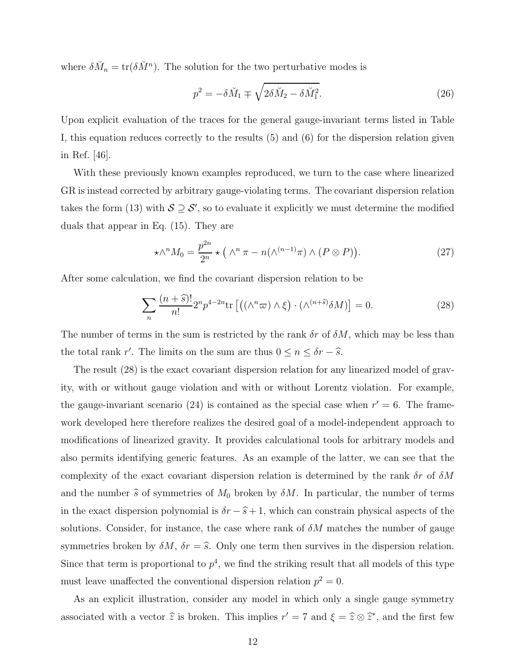where  $\delta \check{M}_n = \text{tr}(\delta \check{M}^n)$ . The solution for the two perturbative modes is

$$
p^2 = -\delta \breve{M}_1 \mp \sqrt{2\delta \breve{M}_2 - \delta \breve{M}_1^2}.
$$
\n(26)

Upon explicit evaluation of the traces for the general gauge-invariant terms listed in Table I, this equation reduces correctly to the results (5) and (6) for the dispersion relation given in Ref. [46].

With these previously known examples reproduced, we turn to the case where linearized GR is instead corrected by arbitrary gauge-violating terms. The covariant dispersion relation takes the form (13) with  $S \supseteq S'$ , so to evaluate it explicitly we must determine the modified duals that appear in Eq. (15). They are

$$
\star \wedge^n M_0 = \frac{p^{2n}}{2^n} \star \left( \wedge^n \pi - n(\wedge^{(n-1)} \pi) \wedge (P \otimes P) \right). \tag{27}
$$

After some calculation, we find the covariant dispersion relation to be

$$
\sum_{n} \frac{(n+\hat{s})!}{n!} 2^n p^{4-2n} \text{tr}\left[ \left( (\wedge^n \varpi) \wedge \xi \right) \cdot (\wedge^{(n+\hat{s})} \delta M) \right] = 0. \tag{28}
$$

The number of terms in the sum is restricted by the rank  $\delta r$  of  $\delta M$ , which may be less than the total rank r'. The limits on the sum are thus  $0 \le n \le \delta r - \hat{s}$ .

The result (28) is the exact covariant dispersion relation for any linearized model of gravity, with or without gauge violation and with or without Lorentz violation. For example, the gauge-invariant scenario (24) is contained as the special case when  $r' = 6$ . The framework developed here therefore realizes the desired goal of a model-independent approach to modifications of linearized gravity. It provides calculational tools for arbitrary models and also permits identifying generic features. As an example of the latter, we can see that the complexity of the exact covariant dispersion relation is determined by the rank  $\delta r$  of  $\delta M$ and the number  $\hat{s}$  of symmetries of  $M_0$  broken by  $\delta M$ . In particular, the number of terms in the exact dispersion polynomial is  $\delta r - \hat{s} + 1$ , which can constrain physical aspects of the solutions. Consider, for instance, the case where rank of  $\delta M$  matches the number of gauge symmetries broken by  $\delta M$ ,  $\delta r = \hat{s}$ . Only one term then survives in the dispersion relation. Since that term is proportional to  $p^4$ , we find the striking result that all models of this type must leave unaffected the conventional dispersion relation  $p^2 = 0$ .

As an explicit illustration, consider any model in which only a single gauge symmetry associated with a vector  $\hat{z}$  is broken. This implies  $r' = 7$  and  $\xi = \hat{z} \otimes \hat{z}^*$ , and the first few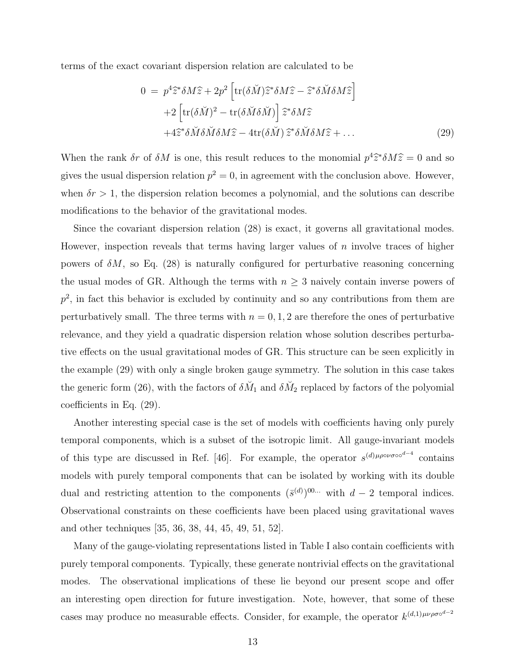terms of the exact covariant dispersion relation are calculated to be

$$
0 = p4 \hat{z}^* \delta M \hat{z} + 2p2 \left[ tr(\delta \check{M}) \hat{z}^* \delta M \hat{z} - \hat{z}^* \delta \check{M} \delta M \hat{z} \right]
$$
  
+2 \left[ tr(\delta \check{M})^2 - tr(\delta \check{M} \delta \check{M}) \right] \hat{z}^\* \delta M \hat{z}  
+4 \hat{z}^\* \delta \check{M} \delta \check{M} \delta M \hat{z} - 4tr(\delta \check{M}) \hat{z}^\* \delta \check{M} \delta M \hat{z} + ... \t(29)

When the rank  $\delta r$  of  $\delta M$  is one, this result reduces to the monomial  $p^4\hat{z}^*\delta M\hat{z} = 0$  and so gives the usual dispersion relation  $p^2 = 0$ , in agreement with the conclusion above. However, when  $\delta r > 1$ , the dispersion relation becomes a polynomial, and the solutions can describe modifications to the behavior of the gravitational modes.

Since the covariant dispersion relation (28) is exact, it governs all gravitational modes. However, inspection reveals that terms having larger values of  $n$  involve traces of higher powers of  $\delta M$ , so Eq. (28) is naturally configured for perturbative reasoning concerning the usual modes of GR. Although the terms with  $n \geq 3$  naively contain inverse powers of  $p^2$ , in fact this behavior is excluded by continuity and so any contributions from them are perturbatively small. The three terms with  $n = 0, 1, 2$  are therefore the ones of perturbative relevance, and they yield a quadratic dispersion relation whose solution describes perturbative effects on the usual gravitational modes of GR. This structure can be seen explicitly in the example (29) with only a single broken gauge symmetry. The solution in this case takes the generic form (26), with the factors of  $\delta \check{M}_1$  and  $\delta \check{M}_2$  replaced by factors of the polyomial coefficients in Eq. (29).

Another interesting special case is the set of models with coefficients having only purely temporal components, which is a subset of the isotropic limit. All gauge-invariant models of this type are discussed in Ref. [46]. For example, the operator  $s^{(d)\mu\rho\circ\nu\sigma\circ\sigma^{d-4}}$  contains models with purely temporal components that can be isolated by working with its double dual and restricting attention to the components  $(\bar{s}^{(d)})^{00...}$  with  $d-2$  temporal indices. Observational constraints on these coefficients have been placed using gravitational waves and other techniques [35, 36, 38, 44, 45, 49, 51, 52].

Many of the gauge-violating representations listed in Table I also contain coefficients with purely temporal components. Typically, these generate nontrivial effects on the gravitational modes. The observational implications of these lie beyond our present scope and offer an interesting open direction for future investigation. Note, however, that some of these cases may produce no measurable effects. Consider, for example, the operator  $k^{(d,1)\mu\nu\rho\sigma\circ^{d-2}}$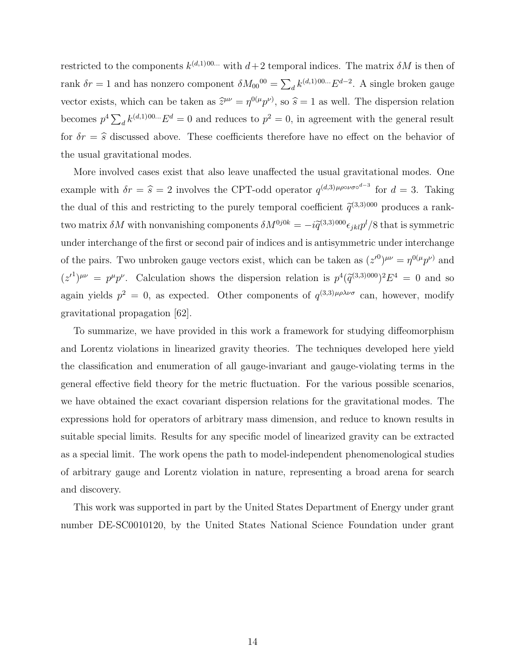restricted to the components  $k^{(d,1)00...}$  with  $d+2$  temporal indices. The matrix  $\delta M$  is then of rank  $\delta r = 1$  and has nonzero component  $\delta M_{00}^{00} = \sum_{d} k^{(d,1)00...} E^{d-2}$ . A single broken gauge vector exists, which can be taken as  $\hat{z}^{\mu\nu} = \eta^{0(\mu} p^{\nu)}$ , so  $\hat{s} = 1$  as well. The dispersion relation becomes  $p^4 \sum_{d} k^{(d,1)00...} E^d = 0$  and reduces to  $p^2 = 0$ , in agreement with the general result for  $\delta r = \hat{s}$  discussed above. These coefficients therefore have no effect on the behavior of the usual gravitational modes.

More involved cases exist that also leave unaffected the usual gravitational modes. One example with  $\delta r = \hat{s} = 2$  involves the CPT-odd operator  $q^{(d,3)\mu\rho\circ\nu\sigma\circ^{d-3}}$  for  $d = 3$ . Taking the dual of this and restricting to the purely temporal coefficient  $\tilde{q}^{(3,3)000}$  produces a ranktwo matrix  $\delta M$  with nonvanishing components  $\delta M^{0j0k} = -i \tilde{q}^{(3,3)000} \epsilon_{jkl} p^l/8$  that is symmetric under interchange of the first or second pair of indices and is antisymmetric under interchange of the pairs. Two unbroken gauge vectors exist, which can be taken as  $(z'^0)^{\mu\nu} = \eta^{0(\mu} p^{\nu)}$  and  $(z')^{\mu\nu} = p^{\mu}p^{\nu}$ . Calculation shows the dispersion relation is  $p^4(\tilde{q}^{(3,3)000})^2E^4 = 0$  and so again yields  $p^2 = 0$ , as expected. Other components of  $q^{(3,3)\mu\rho\lambda\nu\sigma}$  can, however, modify gravitational propagation [62].

To summarize, we have provided in this work a framework for studying diffeomorphism and Lorentz violations in linearized gravity theories. The techniques developed here yield the classification and enumeration of all gauge-invariant and gauge-violating terms in the general effective field theory for the metric fluctuation. For the various possible scenarios, we have obtained the exact covariant dispersion relations for the gravitational modes. The expressions hold for operators of arbitrary mass dimension, and reduce to known results in suitable special limits. Results for any specific model of linearized gravity can be extracted as a special limit. The work opens the path to model-independent phenomenological studies of arbitrary gauge and Lorentz violation in nature, representing a broad arena for search and discovery.

This work was supported in part by the United States Department of Energy under grant number DE-SC0010120, by the United States National Science Foundation under grant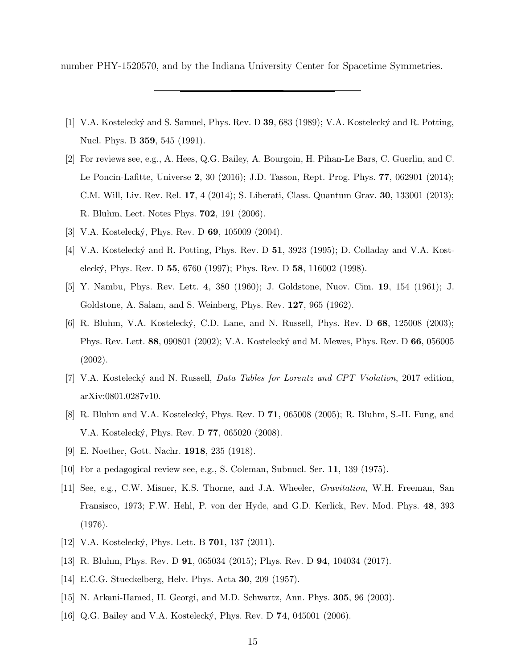number PHY-1520570, and by the Indiana University Center for Spacetime Symmetries.

- [1] V.A. Kostelecký and S. Samuel, Phys. Rev. D 39, 683 (1989); V.A. Kostelecký and R. Potting, Nucl. Phys. B 359, 545 (1991).
- [2] For reviews see, e.g., A. Hees, Q.G. Bailey, A. Bourgoin, H. Pihan-Le Bars, C. Guerlin, and C. Le Poncin-Lafitte, Universe 2, 30 (2016); J.D. Tasson, Rept. Prog. Phys. 77, 062901 (2014); C.M. Will, Liv. Rev. Rel. 17, 4 (2014); S. Liberati, Class. Quantum Grav. 30, 133001 (2013); R. Bluhm, Lect. Notes Phys. 702, 191 (2006).
- [3] V.A. Kostelecký, Phys. Rev. D 69, 105009 (2004).
- [4] V.A. Kostelecký and R. Potting, Phys. Rev. D 51, 3923 (1995); D. Colladay and V.A. Kosteleck´y, Phys. Rev. D 55, 6760 (1997); Phys. Rev. D 58, 116002 (1998).
- [5] Y. Nambu, Phys. Rev. Lett. 4, 380 (1960); J. Goldstone, Nuov. Cim. 19, 154 (1961); J. Goldstone, A. Salam, and S. Weinberg, Phys. Rev. 127, 965 (1962).
- [6] R. Bluhm, V.A. Kostelecký, C.D. Lane, and N. Russell, Phys. Rev. D 68, 125008 (2003); Phys. Rev. Lett. 88, 090801 (2002); V.A. Kostelecký and M. Mewes, Phys. Rev. D 66, 056005 (2002).
- [7] V.A. Kostelecký and N. Russell, *Data Tables for Lorentz and CPT Violation*, 2017 edition, arXiv:0801.0287v10.
- [8] R. Bluhm and V.A. Kostelecký, Phys. Rev. D 71, 065008 (2005); R. Bluhm, S.-H. Fung, and V.A. Kostelecký, Phys. Rev. D **77**, 065020 (2008).
- [9] E. Noether, Gott. Nachr. 1918, 235 (1918).
- [10] For a pedagogical review see, e.g., S. Coleman, Subnucl. Ser. 11, 139 (1975).
- [11] See, e.g., C.W. Misner, K.S. Thorne, and J.A. Wheeler, Gravitation, W.H. Freeman, San Fransisco, 1973; F.W. Hehl, P. von der Hyde, and G.D. Kerlick, Rev. Mod. Phys. 48, 393 (1976).
- [12] V.A. Kostelecký, Phys. Lett. B **701**, 137 (2011).
- [13] R. Bluhm, Phys. Rev. D 91, 065034 (2015); Phys. Rev. D 94, 104034 (2017).
- [14] E.C.G. Stueckelberg, Helv. Phys. Acta **30**, 209 (1957).
- [15] N. Arkani-Hamed, H. Georgi, and M.D. Schwartz, Ann. Phys. 305, 96 (2003).
- [16] Q.G. Bailey and V.A. Kostelecký, Phys. Rev. D **74**, 045001 (2006).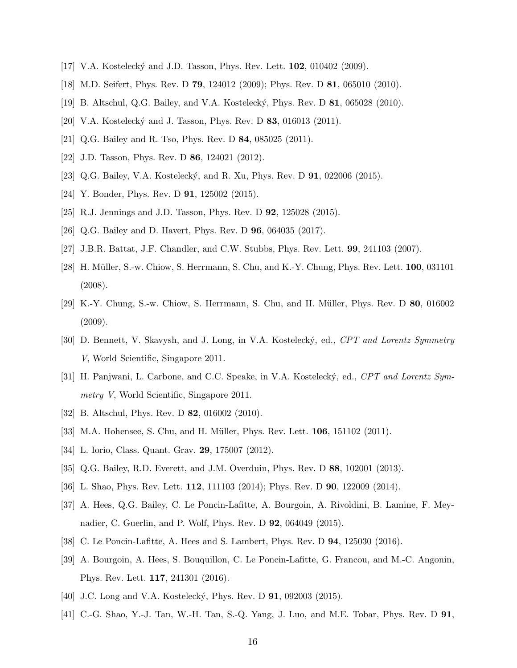- [17] V.A. Kostelecký and J.D. Tasson, Phys. Rev. Lett. **102**, 010402 (2009).
- [18] M.D. Seifert, Phys. Rev. D 79, 124012 (2009); Phys. Rev. D 81, 065010 (2010).
- [19] B. Altschul, Q.G. Bailey, and V.A. Kosteleck´y, Phys. Rev. D 81, 065028 (2010).
- [20] V.A. Kostelecký and J. Tasson, Phys. Rev. D 83, 016013 (2011).
- [21] Q.G. Bailey and R. Tso, Phys. Rev. D 84, 085025 (2011).
- [22] J.D. Tasson, Phys. Rev. D **86**, 124021 (2012).
- [23] Q.G. Bailey, V.A. Kostelecký, and R. Xu, Phys. Rev. D **91**, 022006 (2015).
- [24] Y. Bonder, Phys. Rev. D **91**, 125002 (2015).
- [25] R.J. Jennings and J.D. Tasson, Phys. Rev. D **92**, 125028 (2015).
- [26] Q.G. Bailey and D. Havert, Phys. Rev. D 96, 064035 (2017).
- [27] J.B.R. Battat, J.F. Chandler, and C.W. Stubbs, Phys. Rev. Lett. 99, 241103 (2007).
- [28] H. M¨uller, S.-w. Chiow, S. Herrmann, S. Chu, and K.-Y. Chung, Phys. Rev. Lett. 100, 031101 (2008).
- [29] K.-Y. Chung, S.-w. Chiow, S. Herrmann, S. Chu, and H. M¨uller, Phys. Rev. D 80, 016002 (2009).
- [30] D. Bennett, V. Skavysh, and J. Long, in V.A. Kostelecký, ed., CPT and Lorentz Symmetry V, World Scientific, Singapore 2011.
- [31] H. Panjwani, L. Carbone, and C.C. Speake, in V.A. Kostelecký, ed., CPT and Lorentz Symmetry V, World Scientific, Singapore 2011.
- [32] B. Altschul, Phys. Rev. D **82**, 016002 (2010).
- [33] M.A. Hohensee, S. Chu, and H. Müller, Phys. Rev. Lett. **106**, 151102 (2011).
- [34] L. Iorio, Class. Quant. Grav. 29, 175007 (2012).
- [35] Q.G. Bailey, R.D. Everett, and J.M. Overduin, Phys. Rev. D 88, 102001 (2013).
- [36] L. Shao, Phys. Rev. Lett. 112, 111103 (2014); Phys. Rev. D 90, 122009 (2014).
- [37] A. Hees, Q.G. Bailey, C. Le Poncin-Lafitte, A. Bourgoin, A. Rivoldini, B. Lamine, F. Meynadier, C. Guerlin, and P. Wolf, Phys. Rev. D 92, 064049 (2015).
- [38] C. Le Poncin-Lafitte, A. Hees and S. Lambert, Phys. Rev. D 94, 125030 (2016).
- [39] A. Bourgoin, A. Hees, S. Bouquillon, C. Le Poncin-Lafitte, G. Francou, and M.-C. Angonin, Phys. Rev. Lett. 117, 241301 (2016).
- [40] J.C. Long and V.A. Kostelecký, Phys. Rev. D **91**, 092003 (2015).
- [41] C.-G. Shao, Y.-J. Tan, W.-H. Tan, S.-Q. Yang, J. Luo, and M.E. Tobar, Phys. Rev. D 91,